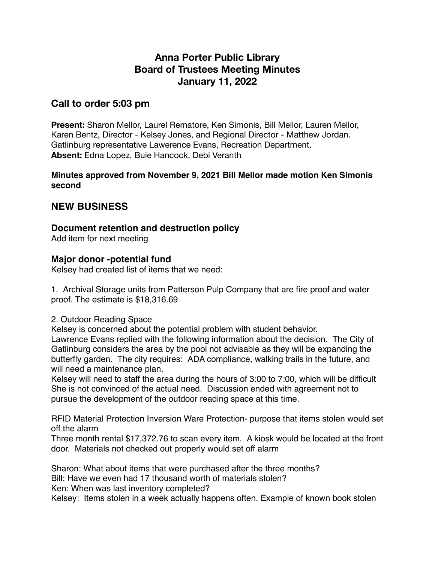# **Anna Porter Public Library Board of Trustees Meeting Minutes January 11, 2022**

# **Call to order 5:03 pm**

**Present:** Sharon Mellor, Laurel Rematore, Ken Simonis, Bill Mellor, Lauren Mellor, Karen Bentz, Director - Kelsey Jones, and Regional Director - Matthew Jordan. Gatlinburg representative Lawerence Evans, Recreation Department. **Absent:** Edna Lopez, Buie Hancock, Debi Veranth

#### **Minutes approved from November 9, 2021 Bill Mellor made motion Ken Simonis second**

# **NEW BUSINESS**

## **Document retention and destruction policy**

Add item for next meeting

### **Major donor -potential fund**

Kelsey had created list of items that we need:

1. Archival Storage units from Patterson Pulp Company that are fire proof and water proof. The estimate is \$18,316.69

2. Outdoor Reading Space

Kelsey is concerned about the potential problem with student behavior.

Lawrence Evans replied with the following information about the decision. The City of Gatlinburg considers the area by the pool not advisable as they will be expanding the butterfly garden. The city requires: ADA compliance, walking trails in the future, and will need a maintenance plan.

Kelsey will need to staff the area during the hours of 3:00 to 7:00, which will be difficult She is not convinced of the actual need. Discussion ended with agreement not to pursue the development of the outdoor reading space at this time.

RFID Material Protection Inversion Ware Protection- purpose that items stolen would set off the alarm

Three month rental \$17,372.76 to scan every item. A kiosk would be located at the front door. Materials not checked out properly would set off alarm

Sharon: What about items that were purchased after the three months?

Bill: Have we even had 17 thousand worth of materials stolen?

Ken: When was last inventory completed?

Kelsey: Items stolen in a week actually happens often. Example of known book stolen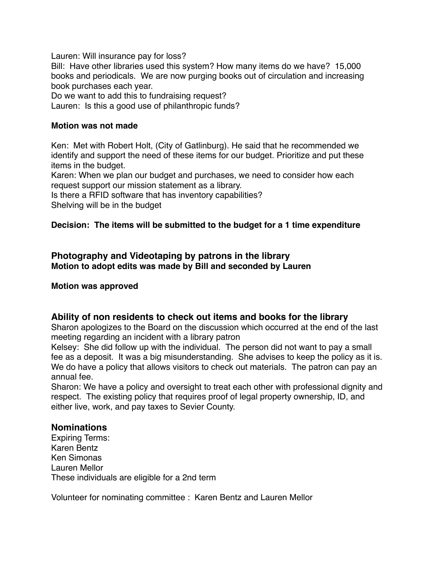Lauren: Will insurance pay for loss?

Bill: Have other libraries used this system? How many items do we have? 15,000 books and periodicals. We are now purging books out of circulation and increasing book purchases each year.

Do we want to add this to fundraising request?

Lauren: Is this a good use of philanthropic funds?

#### **Motion was not made**

Ken: Met with Robert Holt, (City of Gatlinburg). He said that he recommended we identify and support the need of these items for our budget. Prioritize and put these items in the budget.

Karen: When we plan our budget and purchases, we need to consider how each request support our mission statement as a library.

Is there a RFID software that has inventory capabilities?

Shelving will be in the budget

#### **Decision: The items will be submitted to the budget for a 1 time expenditure**

#### **Photography and Videotaping by patrons in the library Motion to adopt edits was made by Bill and seconded by Lauren**

#### **Motion was approved**

#### **Ability of non residents to check out items and books for the library**

Sharon apologizes to the Board on the discussion which occurred at the end of the last meeting regarding an incident with a library patron

Kelsey: She did follow up with the individual. The person did not want to pay a small fee as a deposit. It was a big misunderstanding. She advises to keep the policy as it is. We do have a policy that allows visitors to check out materials. The patron can pay an annual fee.

Sharon: We have a policy and oversight to treat each other with professional dignity and respect. The existing policy that requires proof of legal property ownership, ID, and either live, work, and pay taxes to Sevier County.

#### **Nominations**

Expiring Terms: Karen Bentz Ken Simonas Lauren Mellor These individuals are eligible for a 2nd term

Volunteer for nominating committee : Karen Bentz and Lauren Mellor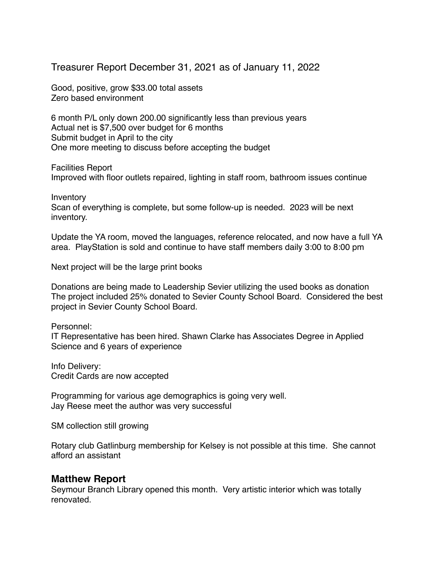# Treasurer Report December 31, 2021 as of January 11, 2022

Good, positive, grow \$33.00 total assets Zero based environment

6 month P/L only down 200.00 significantly less than previous years Actual net is \$7,500 over budget for 6 months Submit budget in April to the city One more meeting to discuss before accepting the budget

Facilities Report

Improved with floor outlets repaired, lighting in staff room, bathroom issues continue

Inventory

Scan of everything is complete, but some follow-up is needed. 2023 will be next inventory.

Update the YA room, moved the languages, reference relocated, and now have a full YA area. PlayStation is sold and continue to have staff members daily 3:00 to 8:00 pm

Next project will be the large print books

Donations are being made to Leadership Sevier utilizing the used books as donation The project included 25% donated to Sevier County School Board. Considered the best project in Sevier County School Board.

Personnel:

IT Representative has been hired. Shawn Clarke has Associates Degree in Applied Science and 6 years of experience

Info Delivery: Credit Cards are now accepted

Programming for various age demographics is going very well. Jay Reese meet the author was very successful

SM collection still growing

Rotary club Gatlinburg membership for Kelsey is not possible at this time. She cannot afford an assistant

### **Matthew Report**

Seymour Branch Library opened this month. Very artistic interior which was totally renovated.